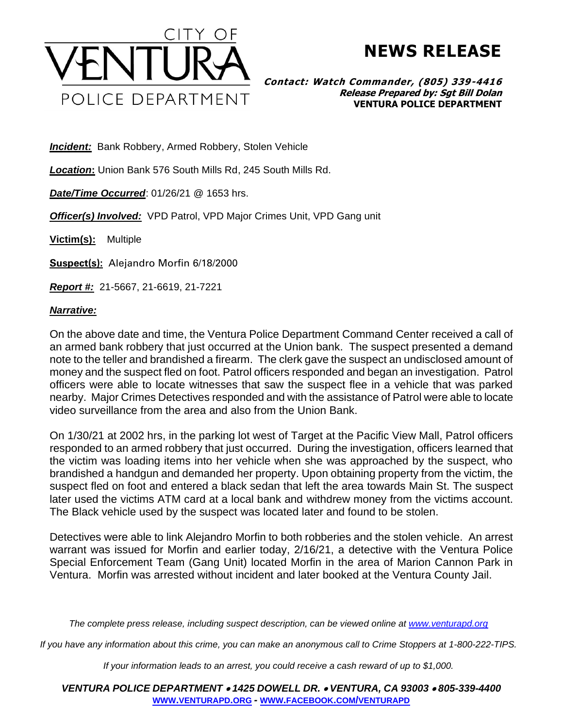

**NEWS RELEASE**

**Contact: Watch Commander, (805) 339-4416 Release Prepared by: Sgt Bill Dolan VENTURA POLICE DEPARTMENT**

**Incident:** Bank Robbery, Armed Robbery, Stolen Vehicle

*Location***:** Union Bank 576 South Mills Rd, 245 South Mills Rd.

*Date/Time Occurred*: 01/26/21 @ 1653 hrs.

*Officer(s) Involved:* VPD Patrol, VPD Major Crimes Unit, VPD Gang unit

**Victim(s):** Multiple

**Suspect(s):** Alejandro Morfin 6/18/2000

*Report #:* 21-5667, 21-6619, 21-7221

## *Narrative:*

On the above date and time, the Ventura Police Department Command Center received a call of an armed bank robbery that just occurred at the Union bank. The suspect presented a demand note to the teller and brandished a firearm. The clerk gave the suspect an undisclosed amount of money and the suspect fled on foot. Patrol officers responded and began an investigation. Patrol officers were able to locate witnesses that saw the suspect flee in a vehicle that was parked nearby. Major Crimes Detectives responded and with the assistance of Patrol were able to locate video surveillance from the area and also from the Union Bank.

On 1/30/21 at 2002 hrs, in the parking lot west of Target at the Pacific View Mall, Patrol officers responded to an armed robbery that just occurred. During the investigation, officers learned that the victim was loading items into her vehicle when she was approached by the suspect, who brandished a handgun and demanded her property. Upon obtaining property from the victim, the suspect fled on foot and entered a black sedan that left the area towards Main St. The suspect later used the victims ATM card at a local bank and withdrew money from the victims account. The Black vehicle used by the suspect was located later and found to be stolen.

Detectives were able to link Alejandro Morfin to both robberies and the stolen vehicle. An arrest warrant was issued for Morfin and earlier today, 2/16/21, a detective with the Ventura Police Special Enforcement Team (Gang Unit) located Morfin in the area of Marion Cannon Park in Ventura. Morfin was arrested without incident and later booked at the Ventura County Jail.

*The complete press release, including suspect description, can be viewed online at [www.venturapd.org](http://www.venturapd.org/)*

*If you have any information about this crime, you can make an anonymous call to Crime Stoppers at 1-800-222-TIPS.*

*If your information leads to an arrest, you could receive a cash reward of up to \$1,000.*

*VENTURA POLICE DEPARTMENT* • *1425 DOWELL DR.* • *VENTURA, CA 93003* • *805-339-4400* **WWW.[VENTURAPD](http://www.venturapd.org/).ORG** *-* **WWW.FACEBOOK.COM/[VENTURAPD](http://www.facebook.com/venturapd)**